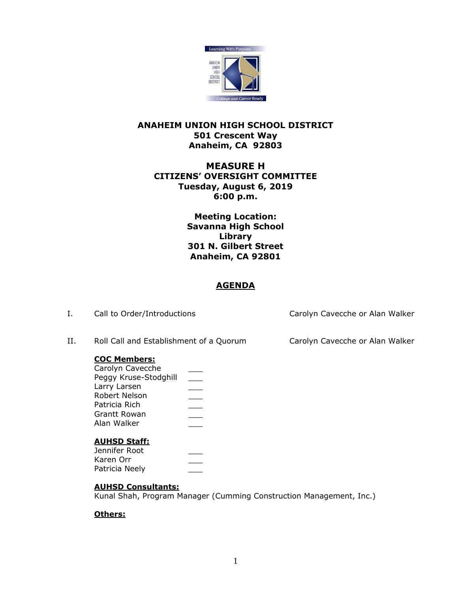

## **ANAHEIM UNION HIGH SCHOOL DISTRICT 501 Crescent Way Anaheim, CA 92803**

# **MEASURE H CITIZENS' OVERSIGHT COMMITTEE Tuesday, August 6, 2019 6:00 p.m.**

**Meeting Location: Savanna High School Library 301 N. Gilbert Street Anaheim, CA 92801**

## **AGENDA**

| Ι. | Call to Order/Introductions                                                                                                                              |              | Carolyn Cavecche or Alan Walker |
|----|----------------------------------------------------------------------------------------------------------------------------------------------------------|--------------|---------------------------------|
| Н. | Roll Call and Establishment of a Quorum                                                                                                                  |              | Carolyn Cavecche or Alan Walker |
|    | <b>COC Members:</b><br>Carolyn Cavecche<br>Peggy Kruse-Stodghill<br>Larry Larsen<br>Robert Nelson<br>Patricia Rich<br><b>Grantt Rowan</b><br>Alan Walker | $\mathbb{R}$ |                                 |
|    | <b>AUHSD Staff:</b><br>Jennifer Root<br>Karen Orr<br>Patricia Neely                                                                                      |              |                                 |

## **AUHSD Consultants:**

Kunal Shah, Program Manager (Cumming Construction Management, Inc.)

## **Others:**